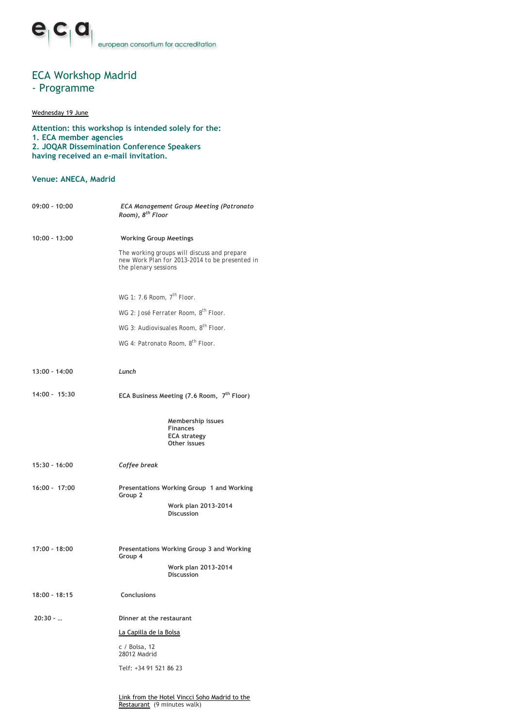# ECA Workshop Madrid

## - Programme

### Wednesday 19 June

**Attention: this workshop is intended solely for the: 1. ECA member agencies 2. JOQAR Dissemination Conference Speakers having received an e-mail invitation.**

### **Venue: ANECA, Madrid**

| $09:00 - 10:00$ | <b>ECA Management Group Meeting (Patronato</b><br>Room), 8 <sup>th</sup> Floor                                        |  |
|-----------------|-----------------------------------------------------------------------------------------------------------------------|--|
| 10:00 - 13:00   | <b>Working Group Meetings</b>                                                                                         |  |
|                 | The working groups will discuss and prepare<br>new Work Plan for 2013-2014 to be presented in<br>the plenary sessions |  |
|                 | WG 1: 7.6 Room, 7 <sup>th</sup> Floor.                                                                                |  |
|                 | WG 2: José Ferrater Room, 8 <sup>th</sup> Floor,                                                                      |  |
|                 | WG 3: Audiovisuales Room, 8 <sup>th</sup> Floor.                                                                      |  |
|                 | WG 4: Patronato Room, 8 <sup>th</sup> Floor.                                                                          |  |
| 13:00 - 14:00   | Lunch                                                                                                                 |  |
| 14:00 - 15:30   | ECA Business Meeting (7.6 Room, 7 <sup>th</sup> Floor)                                                                |  |
|                 | Membership issues<br><b>Finances</b><br><b>ECA strategy</b><br>Other issues                                           |  |
| 15:30 - 16:00   | Coffee break                                                                                                          |  |
| $16:00 - 17:00$ | Presentations Working Group 1 and Working<br>Group 2                                                                  |  |
|                 | Work plan 2013-2014<br><b>Discussion</b>                                                                              |  |
| 17:00 - 18:00   | Presentations Working Group 3 and Working<br>Group 4<br>Work plan 2013-2014<br><b>Discussion</b>                      |  |
| 18:00 - 18:15   | <b>Conclusions</b>                                                                                                    |  |
| $20:30 - $      | Dinner at the restaurant                                                                                              |  |
|                 | La Capilla de la Bolsa                                                                                                |  |
|                 | $c /$ Bolsa, 12<br>28012 Madrid                                                                                       |  |
|                 | Telf: +34 91 521 86 23                                                                                                |  |
|                 |                                                                                                                       |  |

Link from the Hotel Vincci Soho Madrid to the Restaurant (9 minutes walk)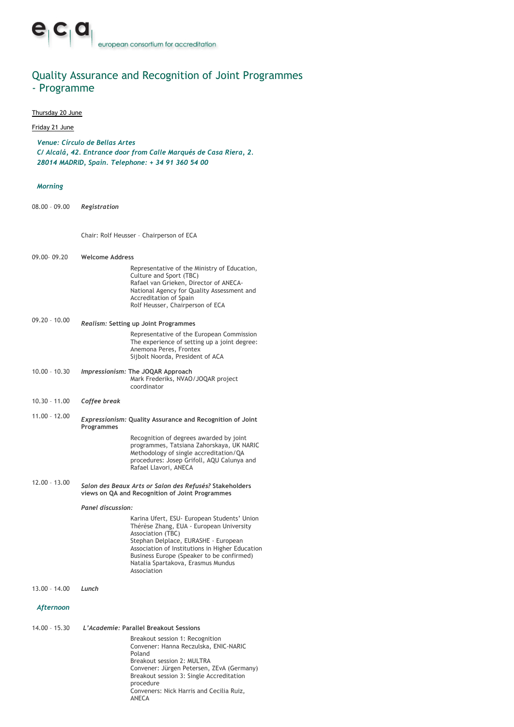## Quality Assurance and Recognition of Joint Programmes - Programme

### Thursday 20 June

### Friday 21 June

*Venue: Círculo de Bellas Artes C/ Alcalá, 42. Entrance door from Calle Marqués de Casa Riera, 2. 28014 MADRID, Spain. Telephone: + 34 91 360 54 00*

#### *Morning*

08.00 – 09.00 *Registration*

Chair: Rolf Heusser – Chairperson of ECA

| 09.00-09.20     | <b>Welcome Address</b>                                                                                                                                                                                                                                                                                    |  |
|-----------------|-----------------------------------------------------------------------------------------------------------------------------------------------------------------------------------------------------------------------------------------------------------------------------------------------------------|--|
|                 | Representative of the Ministry of Education,<br>Culture and Sport (TBC)<br>Rafael van Grieken, Director of ANECA-<br>National Agency for Quality Assessment and<br>Accreditation of Spain<br>Rolf Heusser, Chairperson of ECA                                                                             |  |
| $09.20 - 10.00$ | Realism: Setting up Joint Programmes                                                                                                                                                                                                                                                                      |  |
|                 | Representative of the European Commission<br>The experience of setting up a joint degree:<br>Anemona Peres, Frontex<br>Sijbolt Noorda, President of ACA                                                                                                                                                   |  |
| $10.00 - 10.30$ | Impressionism: The JOQAR Approach<br>Mark Frederiks, NVAO/JOQAR project<br>coordinator                                                                                                                                                                                                                    |  |
| $10.30 - 11.00$ | Coffee break                                                                                                                                                                                                                                                                                              |  |
| $11.00 - 12.00$ | Expressionism: Quality Assurance and Recognition of Joint<br>Programmes                                                                                                                                                                                                                                   |  |
|                 | Recognition of degrees awarded by joint<br>programmes, Tatsiana Zahorskaya, UK NARIC<br>Methodology of single accreditation/QA<br>procedures: Josep Grifoll, AQU Calunya and<br>Rafael Llavori, ANECA                                                                                                     |  |
| $12.00 - 13.00$ | Salon des Beaux Arts or Salon des Refusés? Stakeholders<br>views on QA and Recognition of Joint Programmes<br>Panel discussion:                                                                                                                                                                           |  |
|                 |                                                                                                                                                                                                                                                                                                           |  |
|                 | Karina Ufert, ESU- European Students' Union<br>Thérèse Zhang, EUA - European University<br>Association (TBC)<br>Stephan Delplace, EURASHE - European<br>Association of Institutions in Higher Education<br>Business Europe (Speaker to be confirmed)<br>Natalia Spartakova, Erasmus Mundus<br>Association |  |
| $13.00 - 14.00$ | Lunch                                                                                                                                                                                                                                                                                                     |  |
| Afternoon       |                                                                                                                                                                                                                                                                                                           |  |
| $14.00 - 15.30$ | L'Academie: Parallel Breakout Sessions                                                                                                                                                                                                                                                                    |  |
|                 | Breakout session 1: Recognition<br>Convener: Hanna Reczulska, ENIC-NARIC<br>Poland<br>Breakout session 2: MULTRA<br>Convener: Jürgen Petersen, ZEvA (Germany)<br>Breakout session 3: Single Accreditation<br>procedure                                                                                    |  |

Conveners: Nick Harris and Cecilia Ruiz, ANECA